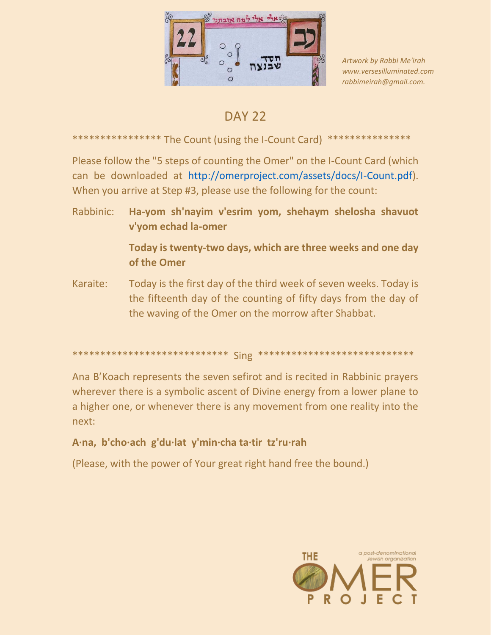

Artwork by Rabbi Me'irah www.versesilluminated.com rabbimeirah@gmail.com.

# **DAY 22**

#### The Count (using the I-Count Card) \*\*\*\*\*\*\*\*\*\*\*\*\*\* \*\*\*\*\*\*\*\*\*\*\*\*\*\*\*

Please follow the "5 steps of counting the Omer" on the I-Count Card (which can be downloaded at http://omerproject.com/assets/docs/I-Count.pdf). When you arrive at Step #3, please use the following for the count:

Rabbinic: Ha-yom sh'nayim v'esrim yom, shehaym shelosha shavuot v'vom echad la-omer

> Today is twenty-two days, which are three weeks and one day of the Omer

Karaite: Today is the first day of the third week of seven weeks. Today is the fifteenth day of the counting of fifty days from the day of the waving of the Omer on the morrow after Shabbat.

#### 

Ana B'Koach represents the seven sefirot and is recited in Rabbinic prayers wherever there is a symbolic ascent of Divine energy from a lower plane to a higher one, or whenever there is any movement from one reality into the next:

## A·na, b'cho·ach g'du·lat y'min·cha ta·tir tz'ru·rah

(Please, with the power of Your great right hand free the bound.)

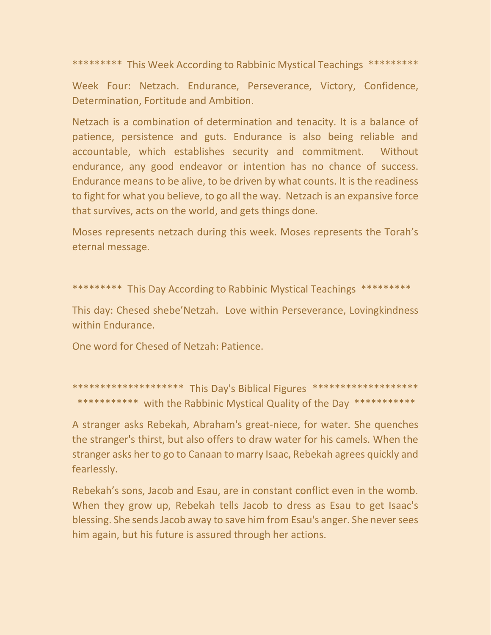\*\*\*\*\*\*\*\*\* This Week According to Rabbinic Mystical Teachings \*\*\*\*\*\*\*\*\*

Week Four: Netzach. Endurance, Perseverance, Victory, Confidence, Determination, Fortitude and Ambition.

Netzach is a combination of determination and tenacity. It is a balance of patience, persistence and guts. Endurance is also being reliable and accountable, which establishes security and commitment. Without endurance, any good endeavor or intention has no chance of success. Endurance means to be alive, to be driven by what counts. It is the readiness to fight for what you believe, to go all the way. Netzach is an expansive force that survives, acts on the world, and gets things done.

Moses represents netzach during this week. Moses represents the Torah's eternal message.

\*\*\*\*\*\*\*\*\* This Day According to Rabbinic Mystical Teachings \*\*\*\*\*\*\*\*\*

This day: Chesed shebe'Netzah. Love within Perseverance, Lovingkindness within Endurance.

One word for Chesed of Netzah: Patience.

\*\*\*\*\*\*\*\*\*\*\*\*\*\*\*\*\*\*\*\*\* This Day's Biblical Figures \*\*\*\*\*\*\*\*\*\*\*\*\*\*\*\*\*\*\*\* \*\*\*\*\*\*\*\*\*\*\* with the Rabbinic Mystical Quality of the Day \*\*\*\*\*\*\*\*\*\*\*

A stranger asks Rebekah, Abraham's great-niece, for water. She quenches the stranger's thirst, but also offers to draw water for his camels. When the stranger asks her to go to Canaan to marry Isaac, Rebekah agrees quickly and fearlessly.

Rebekah's sons, Jacob and Esau, are in constant conflict even in the womb. When they grow up, Rebekah tells Jacob to dress as Esau to get Isaac's blessing. She sends Jacob away to save him from Esau's anger. She never sees him again, but his future is assured through her actions.